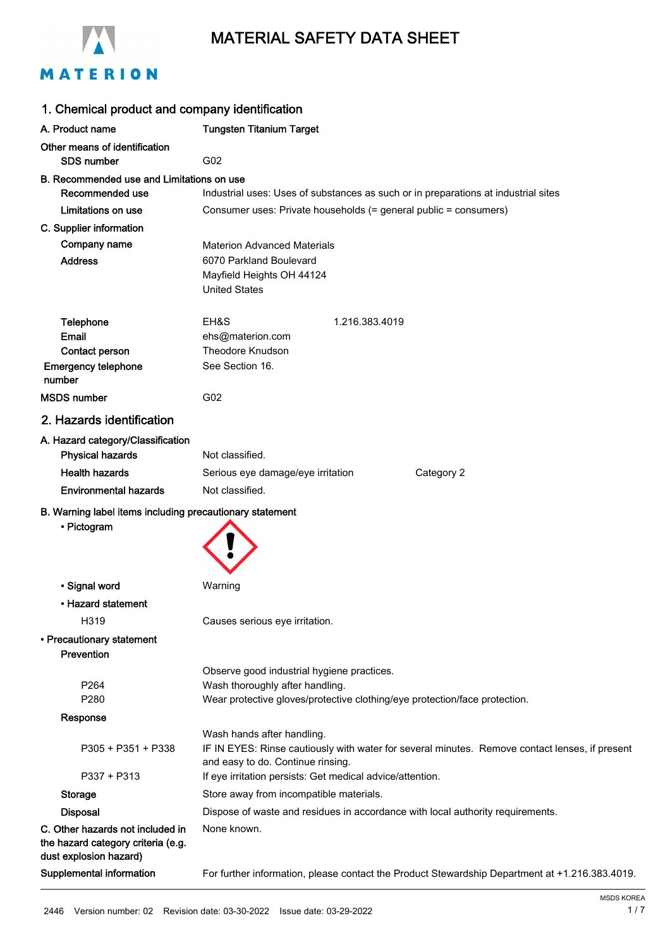



| 1. Chemical product and company identification                         |                                                                                                |  |
|------------------------------------------------------------------------|------------------------------------------------------------------------------------------------|--|
| A. Product name                                                        | <b>Tungsten Titanium Target</b>                                                                |  |
| Other means of identification<br><b>SDS number</b>                     | G02                                                                                            |  |
| B. Recommended use and Limitations on use                              |                                                                                                |  |
| Recommended use                                                        | Industrial uses: Uses of substances as such or in preparations at industrial sites             |  |
| Limitations on use                                                     | Consumer uses: Private households (= general public = consumers)                               |  |
| C. Supplier information                                                |                                                                                                |  |
| Company name                                                           | <b>Materion Advanced Materials</b>                                                             |  |
| <b>Address</b>                                                         | 6070 Parkland Boulevard                                                                        |  |
|                                                                        | Mayfield Heights OH 44124                                                                      |  |
|                                                                        | <b>United States</b>                                                                           |  |
| <b>Telephone</b>                                                       | EH&S<br>1.216.383.4019                                                                         |  |
| <b>Email</b>                                                           | ehs@materion.com                                                                               |  |
| Contact person                                                         | <b>Theodore Knudson</b>                                                                        |  |
| <b>Emergency telephone</b>                                             | See Section 16.                                                                                |  |
| number                                                                 |                                                                                                |  |
| <b>MSDS number</b>                                                     | G02                                                                                            |  |
| 2. Hazards identification                                              |                                                                                                |  |
| A. Hazard category/Classification                                      |                                                                                                |  |
| <b>Physical hazards</b>                                                | Not classified.                                                                                |  |
| <b>Health hazards</b>                                                  | Category 2<br>Serious eye damage/eye irritation                                                |  |
| <b>Environmental hazards</b>                                           | Not classified.                                                                                |  |
| B. Warning label items including precautionary statement               |                                                                                                |  |
| • Pictogram                                                            |                                                                                                |  |
|                                                                        |                                                                                                |  |
|                                                                        |                                                                                                |  |
| • Signal word                                                          | Warning                                                                                        |  |
| • Hazard statement                                                     |                                                                                                |  |
|                                                                        |                                                                                                |  |
| H319                                                                   | Causes serious eye irritation.                                                                 |  |
| • Precautionary statement<br>Prevention                                |                                                                                                |  |
|                                                                        | Observe good industrial hygiene practices.                                                     |  |
| P264                                                                   | Wash thoroughly after handling.                                                                |  |
| P <sub>280</sub>                                                       | Wear protective gloves/protective clothing/eye protection/face protection.                     |  |
| Response                                                               |                                                                                                |  |
|                                                                        | Wash hands after handling.                                                                     |  |
| P305 + P351 + P338                                                     | IF IN EYES: Rinse cautiously with water for several minutes. Remove contact lenses, if present |  |
|                                                                        | and easy to do. Continue rinsing.                                                              |  |
| P337 + P313                                                            | If eye irritation persists: Get medical advice/attention.                                      |  |
| <b>Storage</b>                                                         | Store away from incompatible materials.                                                        |  |
| <b>Disposal</b>                                                        | Dispose of waste and residues in accordance with local authority requirements.                 |  |
| C. Other hazards not included in<br>the hazard category criteria (e.g. | None known.                                                                                    |  |
| dust explosion hazard)                                                 |                                                                                                |  |
| Supplemental information                                               | For further information, please contact the Product Stewardship Department at +1.216.383.4019. |  |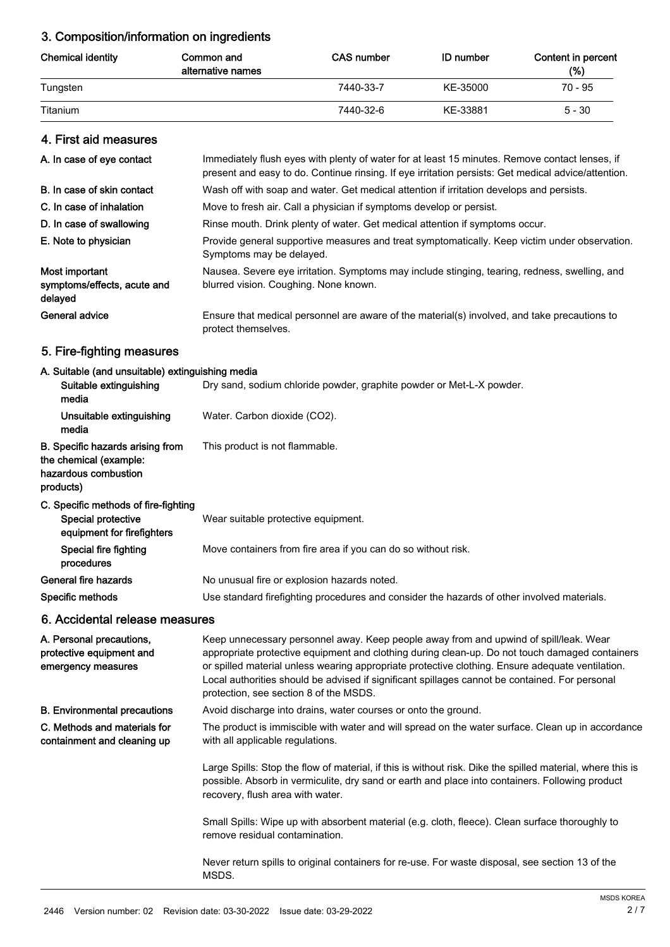# 3. Composition/information on ingredients

| <b>Chemical identity</b> | Common and<br>alternative names | <b>CAS number</b> | <b>ID</b> number | Content in percent<br>(%) |
|--------------------------|---------------------------------|-------------------|------------------|---------------------------|
| Tungsten                 |                                 | 7440-33-7         | KE-35000         | 70 - 95                   |
| Titanium                 |                                 | 7440-32-6         | KE-33881         | $5 - 30$                  |

## 4. First aid measures

| A. In case of eye contact                                | Immediately flush eyes with plenty of water for at least 15 minutes. Remove contact lenses, if<br>present and easy to do. Continue rinsing. If eye irritation persists: Get medical advice/attention. |
|----------------------------------------------------------|-------------------------------------------------------------------------------------------------------------------------------------------------------------------------------------------------------|
| B. In case of skin contact                               | Wash off with soap and water. Get medical attention if irritation develops and persists.                                                                                                              |
| C. In case of inhalation                                 | Move to fresh air. Call a physician if symptoms develop or persist.                                                                                                                                   |
| D. In case of swallowing                                 | Rinse mouth. Drink plenty of water. Get medical attention if symptoms occur.                                                                                                                          |
| E. Note to physician                                     | Provide general supportive measures and treat symptomatically. Keep victim under observation.<br>Symptoms may be delayed.                                                                             |
| Most important<br>symptoms/effects, acute and<br>delayed | Nausea. Severe eye irritation. Symptoms may include stinging, tearing, redness, swelling, and<br>blurred vision. Coughing. None known.                                                                |
| General advice                                           | Ensure that medical personnel are aware of the material(s) involved, and take precautions to<br>protect themselves.                                                                                   |

# 5. Fire-fighting measures

## A. Suitable (and unsuitable) extinguishing media

| $\sim$ . The contract of the contract of the contract of the contract of $\sim$                        |                                                                                            |
|--------------------------------------------------------------------------------------------------------|--------------------------------------------------------------------------------------------|
| Suitable extinguishing<br>media                                                                        | Dry sand, sodium chloride powder, graphite powder or Met-L-X powder.                       |
| Unsuitable extinguishing<br>media                                                                      | Water. Carbon dioxide (CO2).                                                               |
| <b>B.</b> Specific hazards arising from<br>the chemical (example:<br>hazardous combustion<br>products) | This product is not flammable.                                                             |
| C. Specific methods of fire-fighting<br>Special protective<br>equipment for firefighters               | Wear suitable protective equipment.                                                        |
| Special fire fighting<br>procedures                                                                    | Move containers from fire area if you can do so without risk.                              |
| General fire hazards                                                                                   | No unusual fire or explosion hazards noted.                                                |
| Specific methods                                                                                       | Use standard firefighting procedures and consider the hazards of other involved materials. |
|                                                                                                        |                                                                                            |

# 6. Accidental release measures

| A. Personal precautions,<br>protective equipment and<br>emergency measures | Keep unnecessary personnel away. Keep people away from and upwind of spill/leak. Wear<br>appropriate protective equipment and clothing during clean-up. Do not touch damaged containers<br>or spilled material unless wearing appropriate protective clothing. Ensure adequate ventilation.<br>Local authorities should be advised if significant spillages cannot be contained. For personal<br>protection, see section 8 of the MSDS. |
|----------------------------------------------------------------------------|-----------------------------------------------------------------------------------------------------------------------------------------------------------------------------------------------------------------------------------------------------------------------------------------------------------------------------------------------------------------------------------------------------------------------------------------|
| <b>B.</b> Environmental precautions                                        | Avoid discharge into drains, water courses or onto the ground.                                                                                                                                                                                                                                                                                                                                                                          |
| C. Methods and materials for<br>containment and cleaning up                | The product is immiscible with water and will spread on the water surface. Clean up in accordance<br>with all applicable regulations.                                                                                                                                                                                                                                                                                                   |
|                                                                            | Large Spills: Stop the flow of material, if this is without risk. Dike the spilled material, where this is<br>possible. Absorb in vermiculite, dry sand or earth and place into containers. Following product<br>recovery, flush area with water.                                                                                                                                                                                       |
|                                                                            | Small Spills: Wipe up with absorbent material (e.g. cloth, fleece). Clean surface thoroughly to<br>remove residual contamination.                                                                                                                                                                                                                                                                                                       |
|                                                                            | Never return spills to original containers for re-use. For waste disposal, see section 13 of the<br>MSDS.                                                                                                                                                                                                                                                                                                                               |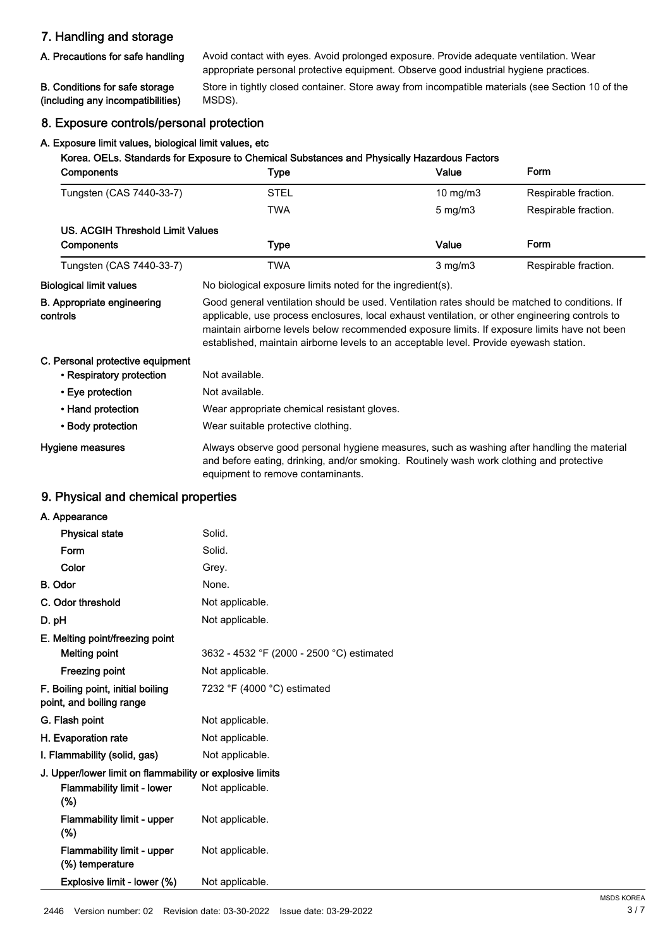# 7. Handling and storage

## A. Precautions for safe handling

Avoid contact with eyes. Avoid prolonged exposure. Provide adequate ventilation. Wear appropriate personal protective equipment. Observe good industrial hygiene practices.

#### B. Conditions for safe storage (including any incompatibilities)

Store in tightly closed container. Store away from incompatible materials (see Section 10 of the MSDS).

## 8. Exposure controls/personal protection

#### A. Exposure limit values, biological limit values, etc

| Korea. OELs. Standards for Exposure to Chemical Substances and Physically Hazardous Factors |                                                                                                                                                                                                                                                                                                                                                                                             |                     |                      |
|---------------------------------------------------------------------------------------------|---------------------------------------------------------------------------------------------------------------------------------------------------------------------------------------------------------------------------------------------------------------------------------------------------------------------------------------------------------------------------------------------|---------------------|----------------------|
| Components                                                                                  | Type                                                                                                                                                                                                                                                                                                                                                                                        | Value               | Form                 |
| Tungsten (CAS 7440-33-7)                                                                    | <b>STEL</b>                                                                                                                                                                                                                                                                                                                                                                                 | $10 \text{ mg/m}$ 3 | Respirable fraction. |
|                                                                                             | <b>TWA</b>                                                                                                                                                                                                                                                                                                                                                                                  | $5$ mg/m $3$        | Respirable fraction. |
| <b>US. ACGIH Threshold Limit Values</b>                                                     |                                                                                                                                                                                                                                                                                                                                                                                             |                     |                      |
| Components                                                                                  | <b>Type</b>                                                                                                                                                                                                                                                                                                                                                                                 | Value               | Form                 |
| Tungsten (CAS 7440-33-7)                                                                    | <b>TWA</b>                                                                                                                                                                                                                                                                                                                                                                                  | $3$ mg/m $3$        | Respirable fraction. |
| <b>Biological limit values</b>                                                              | No biological exposure limits noted for the ingredient(s).                                                                                                                                                                                                                                                                                                                                  |                     |                      |
| <b>B. Appropriate engineering</b><br>controls                                               | Good general ventilation should be used. Ventilation rates should be matched to conditions. If<br>applicable, use process enclosures, local exhaust ventilation, or other engineering controls to<br>maintain airborne levels below recommended exposure limits. If exposure limits have not been<br>established, maintain airborne levels to an acceptable level. Provide eyewash station. |                     |                      |
| C. Personal protective equipment                                                            |                                                                                                                                                                                                                                                                                                                                                                                             |                     |                      |
| • Respiratory protection                                                                    | Not available.                                                                                                                                                                                                                                                                                                                                                                              |                     |                      |
| • Eye protection                                                                            | Not available.                                                                                                                                                                                                                                                                                                                                                                              |                     |                      |
| • Hand protection                                                                           | Wear appropriate chemical resistant gloves.                                                                                                                                                                                                                                                                                                                                                 |                     |                      |
| • Body protection                                                                           | Wear suitable protective clothing.                                                                                                                                                                                                                                                                                                                                                          |                     |                      |
| Hygiene measures                                                                            | Always observe good personal hygiene measures, such as washing after handling the material<br>and before eating, drinking, and/or smoking. Routinely wash work clothing and protective<br>equipment to remove contaminants.                                                                                                                                                                 |                     |                      |

## 9. Physical and chemical properties

| A. Appearance                                            |                                           |
|----------------------------------------------------------|-------------------------------------------|
| <b>Physical state</b>                                    | Solid.                                    |
| Form                                                     | Solid.                                    |
| Color                                                    | Grey.                                     |
| <b>B.</b> Odor                                           | None.                                     |
| C. Odor threshold                                        | Not applicable.                           |
| D. pH                                                    | Not applicable.                           |
| E. Melting point/freezing point                          |                                           |
| <b>Melting point</b>                                     | 3632 - 4532 °F (2000 - 2500 °C) estimated |
| <b>Freezing point</b>                                    | Not applicable.                           |
| F. Boiling point, initial boiling                        | 7232 °F (4000 °C) estimated               |
| point, and boiling range                                 |                                           |
| G. Flash point                                           | Not applicable.                           |
| H. Evaporation rate                                      | Not applicable.                           |
| I. Flammability (solid, gas)                             | Not applicable.                           |
| J. Upper/lower limit on flammability or explosive limits |                                           |
| <b>Flammability limit - lower</b><br>$(\%)$              | Not applicable.                           |
| Flammability limit - upper<br>$(\% )$                    | Not applicable.                           |
| <b>Flammability limit - upper</b><br>(%) temperature     | Not applicable.                           |
| Explosive limit - lower (%)                              | Not applicable.                           |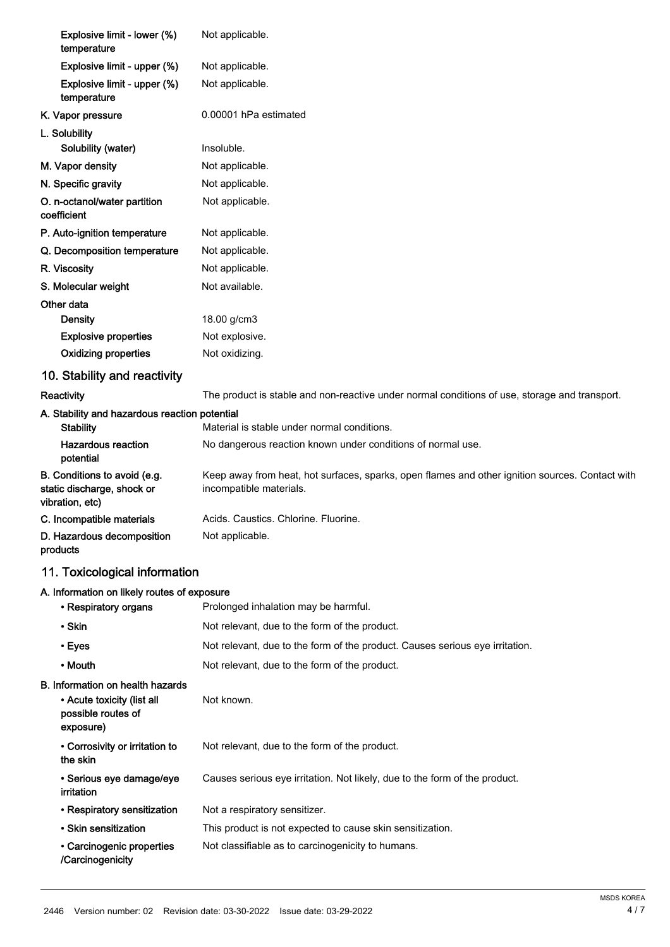| Explosive limit - lower (%)<br>temperature                                                        | Not applicable.                                                                                                            |
|---------------------------------------------------------------------------------------------------|----------------------------------------------------------------------------------------------------------------------------|
| Explosive limit - upper (%)                                                                       | Not applicable.                                                                                                            |
| Explosive limit - upper (%)<br>temperature                                                        | Not applicable.                                                                                                            |
| K. Vapor pressure                                                                                 | 0.00001 hPa estimated                                                                                                      |
| L. Solubility                                                                                     |                                                                                                                            |
| Solubility (water)                                                                                | Insoluble.                                                                                                                 |
| M. Vapor density                                                                                  | Not applicable.                                                                                                            |
| N. Specific gravity                                                                               | Not applicable.                                                                                                            |
| O. n-octanol/water partition<br>coefficient                                                       | Not applicable.                                                                                                            |
| P. Auto-ignition temperature                                                                      | Not applicable.                                                                                                            |
| Q. Decomposition temperature                                                                      | Not applicable.                                                                                                            |
| R. Viscosity                                                                                      | Not applicable.                                                                                                            |
| S. Molecular weight                                                                               | Not available.                                                                                                             |
| Other data                                                                                        |                                                                                                                            |
| <b>Density</b>                                                                                    | 18.00 g/cm3                                                                                                                |
| <b>Explosive properties</b>                                                                       | Not explosive.                                                                                                             |
| <b>Oxidizing properties</b>                                                                       | Not oxidizing.                                                                                                             |
| 10. Stability and reactivity                                                                      |                                                                                                                            |
| Reactivity                                                                                        | The product is stable and non-reactive under normal conditions of use, storage and transport.                              |
| A. Stability and hazardous reaction potential<br><b>Stability</b>                                 | Material is stable under normal conditions.                                                                                |
| <b>Hazardous reaction</b>                                                                         | No dangerous reaction known under conditions of normal use.                                                                |
| potential                                                                                         |                                                                                                                            |
| B. Conditions to avoid (e.g.<br>static discharge, shock or<br>vibration, etc)                     | Keep away from heat, hot surfaces, sparks, open flames and other ignition sources. Contact with<br>incompatible materials. |
| C. Incompatible materials                                                                         | Acids. Caustics. Chlorine. Fluorine.                                                                                       |
| D. Hazardous decomposition<br>products                                                            | Not applicable.                                                                                                            |
| 11. Toxicological information                                                                     |                                                                                                                            |
| A. Information on likely routes of exposure                                                       |                                                                                                                            |
| • Respiratory organs                                                                              | Prolonged inhalation may be harmful.                                                                                       |
| • Skin                                                                                            | Not relevant, due to the form of the product.                                                                              |
| • Eyes                                                                                            | Not relevant, due to the form of the product. Causes serious eye irritation.                                               |
| • Mouth                                                                                           | Not relevant, due to the form of the product.                                                                              |
| B. Information on health hazards<br>• Acute toxicity (list all<br>possible routes of<br>exposure) | Not known.                                                                                                                 |
| • Corrosivity or irritation to<br>the skin                                                        | Not relevant, due to the form of the product.                                                                              |
| · Serious eye damage/eye<br>irritation                                                            | Causes serious eye irritation. Not likely, due to the form of the product.                                                 |
| • Respiratory sensitization                                                                       | Not a respiratory sensitizer.                                                                                              |
| • Skin sensitization                                                                              | This product is not expected to cause skin sensitization.                                                                  |
| • Carcinogenic properties<br>/Carcinogenicity                                                     | Not classifiable as to carcinogenicity to humans.                                                                          |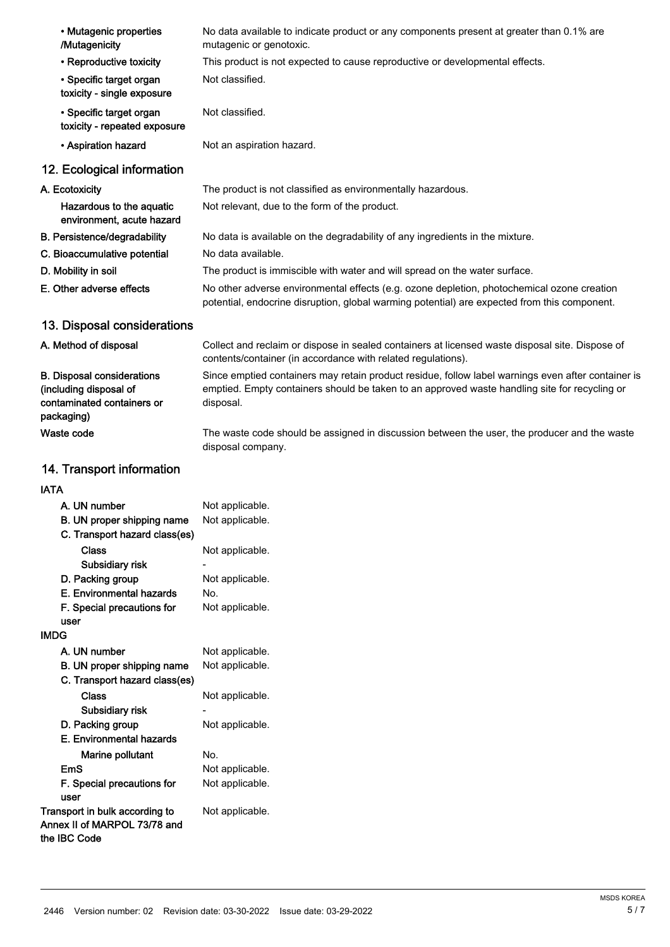| • Mutagenic properties<br>/Mutagenicity                                                                 | No data available to indicate product or any components present at greater than 0.1% are<br>mutagenic or genotoxic.                                                                                              |
|---------------------------------------------------------------------------------------------------------|------------------------------------------------------------------------------------------------------------------------------------------------------------------------------------------------------------------|
| • Reproductive toxicity                                                                                 | This product is not expected to cause reproductive or developmental effects.                                                                                                                                     |
| • Specific target organ<br>toxicity - single exposure                                                   | Not classified.                                                                                                                                                                                                  |
| • Specific target organ<br>toxicity - repeated exposure                                                 | Not classified.                                                                                                                                                                                                  |
| • Aspiration hazard                                                                                     | Not an aspiration hazard.                                                                                                                                                                                        |
| 12. Ecological information                                                                              |                                                                                                                                                                                                                  |
| A. Ecotoxicity                                                                                          | The product is not classified as environmentally hazardous.                                                                                                                                                      |
| Hazardous to the aquatic<br>environment, acute hazard                                                   | Not relevant, due to the form of the product.                                                                                                                                                                    |
| B. Persistence/degradability                                                                            | No data is available on the degradability of any ingredients in the mixture.                                                                                                                                     |
| C. Bioaccumulative potential                                                                            | No data available.                                                                                                                                                                                               |
| D. Mobility in soil                                                                                     | The product is immiscible with water and will spread on the water surface.                                                                                                                                       |
| E. Other adverse effects                                                                                | No other adverse environmental effects (e.g. ozone depletion, photochemical ozone creation<br>potential, endocrine disruption, global warming potential) are expected from this component.                       |
| 13. Disposal considerations                                                                             |                                                                                                                                                                                                                  |
| A. Method of disposal                                                                                   | Collect and reclaim or dispose in sealed containers at licensed waste disposal site. Dispose of<br>contents/container (in accordance with related regulations).                                                  |
| <b>B. Disposal considerations</b><br>(including disposal of<br>contaminated containers or<br>packaging) | Since emptied containers may retain product residue, follow label warnings even after container is<br>emptied. Empty containers should be taken to an approved waste handling site for recycling or<br>disposal. |
| Waste code                                                                                              | The waste code should be assigned in discussion between the user, the producer and the waste<br>disposal company.                                                                                                |
| 14. Transport information                                                                               |                                                                                                                                                                                                                  |
| IATA                                                                                                    |                                                                                                                                                                                                                  |
| A. UN number                                                                                            | Not applicable.                                                                                                                                                                                                  |
| B. UN proper shipping name<br>C. Transport hazard class(es)                                             | Not applicable.                                                                                                                                                                                                  |
| Class                                                                                                   | Not applicable.                                                                                                                                                                                                  |
| Subsidiary risk                                                                                         |                                                                                                                                                                                                                  |
| D. Packing group                                                                                        | Not applicable.                                                                                                                                                                                                  |
| E. Environmental hazards                                                                                | No.<br>Not applicable.                                                                                                                                                                                           |
| F. Special precautions for<br>user                                                                      |                                                                                                                                                                                                                  |
| <b>IMDG</b>                                                                                             |                                                                                                                                                                                                                  |

| A. UN number                   | Not applicable. |
|--------------------------------|-----------------|
| B. UN proper shipping name     | Not applicable. |
| C. Transport hazard class(es)  |                 |
| Class                          | Not applicable. |
| Subsidiary risk                |                 |
| D. Packing group               | Not applicable. |
| E. Environmental hazards       |                 |
| <b>Marine pollutant</b>        | No.             |
| EmS                            | Not applicable. |
| F. Special precautions for     | Not applicable. |
| user                           |                 |
| Transport in bulk according to | Not applicable. |
| Annex II of MARPOL 73/78 and   |                 |
| the IBC Code                   |                 |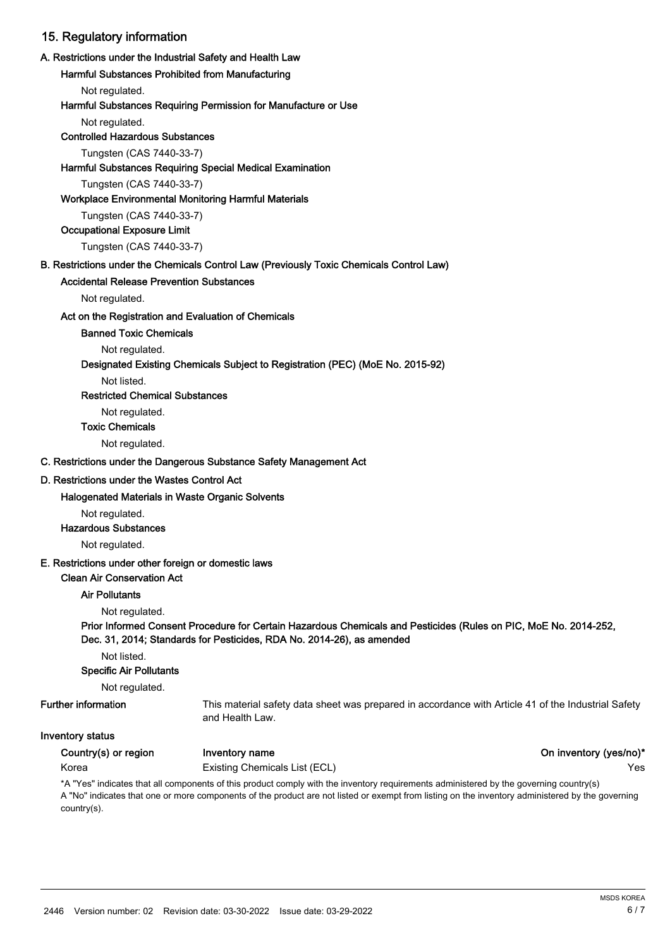## 15. Regulatory information

#### A. Restrictions under the Industrial Safety and Health Law

Harmful Substances Prohibited from Manufacturing

Not regulated.

#### Harmful Substances Requiring Permission for Manufacture or Use

Not regulated.

#### Controlled Hazardous Substances

Tungsten (CAS 7440-33-7)

#### Harmful Substances Requiring Special Medical Examination

Tungsten (CAS 7440-33-7)

#### Workplace Environmental Monitoring Harmful Materials

Tungsten (CAS 7440-33-7)

Occupational Exposure Limit

Tungsten (CAS 7440-33-7)

#### B. Restrictions under the Chemicals Control Law (Previously Toxic Chemicals Control Law)

#### Accidental Release Prevention Substances

Not regulated.

#### Act on the Registration and Evaluation of Chemicals

Banned Toxic Chemicals

Not regulated.

#### Designated Existing Chemicals Subject to Registration (PEC) (MoE No. 2015-92)

Not listed.

Restricted Chemical Substances

Not regulated.

Toxic Chemicals

Not regulated.

### C. Restrictions under the Dangerous Substance Safety Management Act

#### D. Restrictions under the Wastes Control Act

#### Halogenated Materials in Waste Organic Solvents

Not regulated.

#### Hazardous Substances

Not regulated.

#### E. Restrictions under other foreign or domestic laws

### Clean Air Conservation Act

#### Air Pollutants

Not regulated.

### Prior Informed Consent Procedure for Certain Hazardous Chemicals and Pesticides (Rules on PIC, MoE No. 2014-252, Dec. 31, 2014; Standards for Pesticides, RDA No. 2014-26), as amended

Not listed.

## Specific Air Pollutants

Not regulated.

#### Further information

This material safety data sheet was prepared in accordance with Article 41 of the Industrial Safety and Health Law.

#### Inventory status

Country(s) or region Inventory name **Inventory name** Country(yes/no)<sup>\*</sup>

Korea **Existing Chemicals List (ECL) Existing Chemicals List (ECL) The State Control of the State Control of the Ves** 

\*A "Yes" indicates that all components of this product comply with the inventory requirements administered by the governing country(s) A "No" indicates that one or more components of the product are not listed or exempt from listing on the inventory administered by the governing country(s).